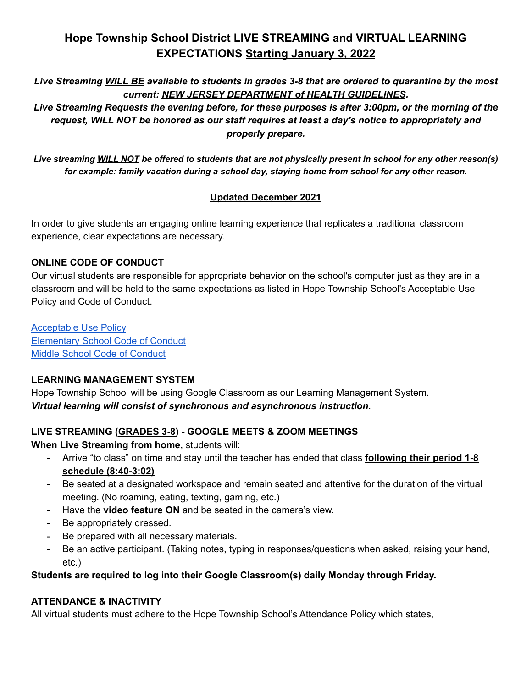# **Hope Township School District LIVE STREAMING and VIRTUAL LEARNING EXPECTATIONS Starting January 3, 2022**

Live Streaming WILL BE available to students in grades 3-8 that are ordered to quarantine by the most *current: NEW JERSEY DEPARTMENT of HEALTH GUIDELINES.*

*Live Streaming Requests the evening before, for these purposes is after 3:00pm, or the morning of the request, WILL NOT be honored as our staff requires at least a day's notice to appropriately and properly prepare.*

Live streaming WILL NOT be offered to students that are not physically present in school for any other reason(s) *for example: family vacation during a school day, staying home from school for any other reason.*

# **Updated December 2021**

In order to give students an engaging online learning experience that replicates a traditional classroom experience, clear expectations are necessary.

### **ONLINE CODE OF CONDUCT**

Our virtual students are responsible for appropriate behavior on the school's computer just as they are in a classroom and will be held to the same expectations as listed in Hope Township School's Acceptable Use Policy and Code of Conduct.

[Acceptable](http://hope-elem.org/hope/Resources/Acceptable%20Use%20Policy.pdf?1596023892) Use Policy [Elementary](http://hope-elem.org/hope/Resources/Elementary%20School%20Code%20of%20Conduct-Handbook%2019-20.pdf?1596023818) School Code of Conduct Middle School Code of [Conduct](http://hope-elem.org/hope/Resources/Middle%20School%20Code%20of%20Conduct-Handbook%2019-20.pdf?1596023818)

### **LEARNING MANAGEMENT SYSTEM**

Hope Township School will be using Google Classroom as our Learning Management System. *Virtual learning will consist of synchronous and asynchronous instruction.*

# **LIVE STREAMING (GRADES 3-8) - GOOGLE MEETS & ZOOM MEETINGS**

**When Live Streaming from home,** students will:

- Arrive "to class" on time and stay until the teacher has ended that class **following their period 1-8 schedule (8:40-3:02)**
- Be seated at a designated workspace and remain seated and attentive for the duration of the virtual meeting. (No roaming, eating, texting, gaming, etc.)
- Have the **video feature ON** and be seated in the camera's view.
- Be appropriately dressed.
- Be prepared with all necessary materials.
- Be an active participant. (Taking notes, typing in responses/questions when asked, raising your hand, etc.)

### **Students are required to log into their Google Classroom(s) daily Monday through Friday.**

# **ATTENDANCE & INACTIVITY**

All virtual students must adhere to the Hope Township School's Attendance Policy which states,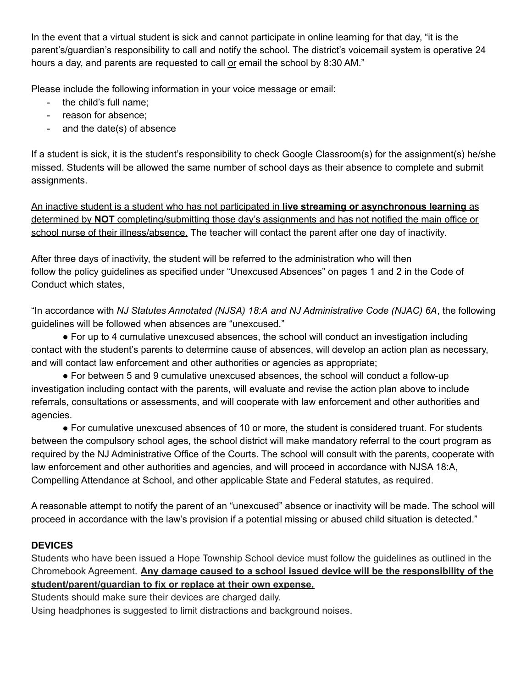In the event that a virtual student is sick and cannot participate in online learning for that day, "it is the parent's/guardian's responsibility to call and notify the school. The district's voicemail system is operative 24 hours a day, and parents are requested to call or email the school by 8:30 AM."

Please include the following information in your voice message or email:

- the child's full name;
- reason for absence;
- and the date(s) of absence

If a student is sick, it is the student's responsibility to check Google Classroom(s) for the assignment(s) he/she missed. Students will be allowed the same number of school days as their absence to complete and submit assignments.

An inactive student is a student who has not participated in **live streaming or asynchronous learning** as determined by **NOT** completing/submitting those day's assignments and has not notified the main office or school nurse of their illness/absence. The teacher will contact the parent after one day of inactivity.

After three days of inactivity, the student will be referred to the administration who will then follow the policy guidelines as specified under "Unexcused Absences" on pages 1 and 2 in the Code of Conduct which states,

"In accordance with *NJ Statutes Annotated (NJSA) 18:A and NJ Administrative Code (NJAC) 6A*, the following guidelines will be followed when absences are "unexcused."

● For up to 4 cumulative unexcused absences, the school will conduct an investigation including contact with the student's parents to determine cause of absences, will develop an action plan as necessary, and will contact law enforcement and other authorities or agencies as appropriate;

● For between 5 and 9 cumulative unexcused absences, the school will conduct a follow-up investigation including contact with the parents, will evaluate and revise the action plan above to include referrals, consultations or assessments, and will cooperate with law enforcement and other authorities and agencies.

● For cumulative unexcused absences of 10 or more, the student is considered truant. For students between the compulsory school ages, the school district will make mandatory referral to the court program as required by the NJ Administrative Office of the Courts. The school will consult with the parents, cooperate with law enforcement and other authorities and agencies, and will proceed in accordance with NJSA 18:A, Compelling Attendance at School, and other applicable State and Federal statutes, as required.

A reasonable attempt to notify the parent of an "unexcused" absence or inactivity will be made. The school will proceed in accordance with the law's provision if a potential missing or abused child situation is detected."

# **DEVICES**

Students who have been issued a Hope Township School device must follow the guidelines as outlined in the Chromebook Agreement. **Any damage caused to a school issued device will be the responsibility of the student/parent/guardian to fix or replace at their own expense.**

Students should make sure their devices are charged daily.

Using headphones is suggested to limit distractions and background noises.